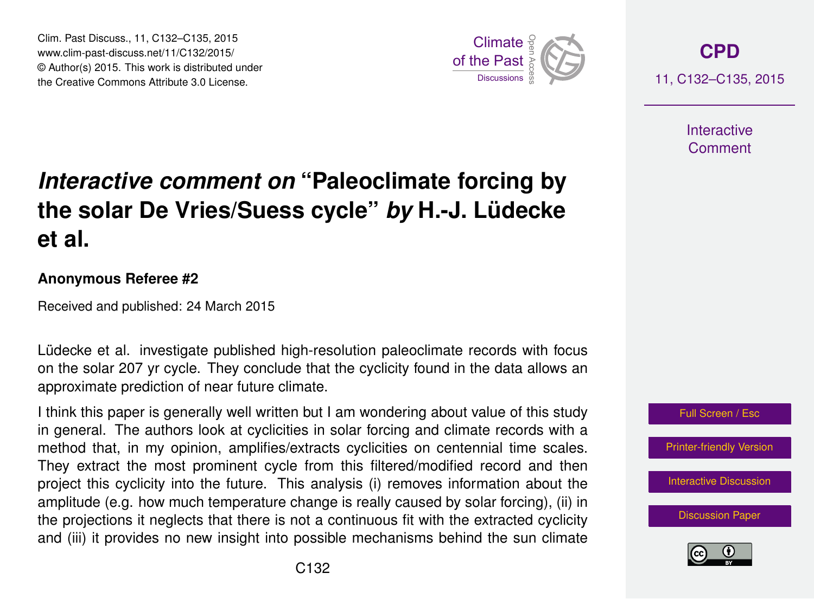Clim. Past Discuss., 11, C132–C135, 2015 www.clim-past-discuss.net/11/C132/2015/ © Author(s) 2015. This work is distributed under Clim. Past Discuss., 11, C132–C135, 2015<br>www.clim-past-discuss.net/11/C132/2015/<br>© Author(s) 2015. This work is distributed under<br>the Creative Commons Attribute 3.0 License.



**[CPD](http://www.clim-past-discuss.net)** 11, C132–C135, 2015

> **Interactive** Comment

## *Interactive comment on* **"Paleoclimate forcing by the solar De Vries/Suess cycle"** *by* **H.-J. Lüdecke et al.**

## **Anonymous Referee #2**

Received and published: 24 March 2015

Lüdecke et al. investigate published high-resolution paleoclimate records with focus on the solar 207 yr cycle. They conclude that the cyclicity found in the data allows an approximate prediction of near future climate.

I think this paper is generally well written but I am wondering about value of this study in general. The authors look at cyclicities in solar forcing and climate records with a method that, in my opinion, amplifies/extracts cyclicities on centennial time scales. They extract the most prominent cycle from this filtered/modified record and then project this cyclicity into the future. This analysis (i) removes information about the amplitude (e.g. how much temperature change is really caused by solar forcing), (ii) in the projections it neglects that there is not a continuous fit with the extracted cyclicity and (iii) it provides no new insight into possible mechanisms behind the sun climate



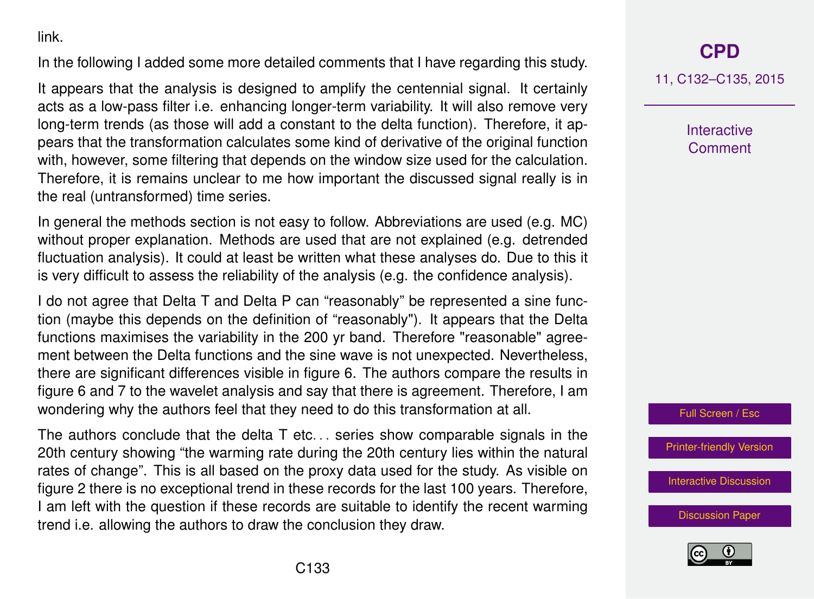link.

In the following I added some more detailed comments that I have regarding this study.

It appears that the analysis is designed to amplify the centennial signal. It certainly acts as a low-pass filter i.e. enhancing longer-term variability. It will also remove very long-term trends (as those will add a constant to the delta function). Therefore, it appears that the transformation calculates some kind of derivative of the original function with, however, some filtering that depends on the window size used for the calculation. Therefore, it is remains unclear to me how important the discussed signal really is in the real (untransformed) time series.

In general the methods section is not easy to follow. Abbreviations are used (e.g. MC) without proper explanation. Methods are used that are not explained (e.g. detrended fluctuation analysis). It could at least be written what these analyses do. Due to this it is very difficult to assess the reliability of the analysis (e.g. the confidence analysis).

I do not agree that Delta T and Delta P can "reasonably" be represented a sine function (maybe this depends on the definition of "reasonably"). It appears that the Delta functions maximises the variability in the 200 yr band. Therefore "reasonable" agreement between the Delta functions and the sine wave is not unexpected. Nevertheless, there are significant differences visible in figure 6. The authors compare the results in figure 6 and 7 to the wavelet analysis and say that there is agreement. Therefore, I am wondering why the authors feel that they need to do this transformation at all.

The authors conclude that the delta  $T$  etc... series show comparable signals in the 20th century showing "the warming rate during the 20th century lies within the natural rates of change". This is all based on the proxy data used for the study. As visible on figure 2 there is no exceptional trend in these records for the last 100 years. Therefore, I am left with the question if these records are suitable to identify the recent warming trend i.e. allowing the authors to draw the conclusion they draw.

## **[CPD](http://www.clim-past-discuss.net)**

11, C132–C135, 2015

**Interactive Comment** 

Full Screen / Esc

[Printer-friendly Version](http://www.clim-past-discuss.net/11/C132/2015/cpd-11-C132-2015-print.pdf)

[Interactive Discussion](http://www.clim-past-discuss.net/11/279/2015/cpd-11-279-2015-discussion.html)

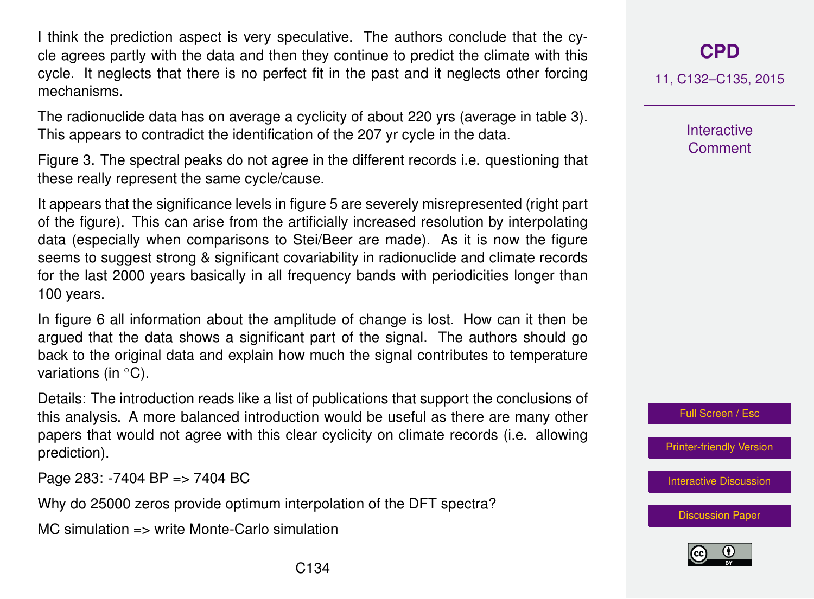I think the prediction aspect is very speculative. The authors conclude that the cycle agrees partly with the data and then they continue to predict the climate with this cycle. It neglects that there is no perfect fit in the past and it neglects other forcing mechanisms.

The radionuclide data has on average a cyclicity of about 220 yrs (average in table 3). This appears to contradict the identification of the 207 yr cycle in the data.

Figure 3. The spectral peaks do not agree in the different records i.e. questioning that these really represent the same cycle/cause.

It appears that the significance levels in figure 5 are severely misrepresented (right part of the figure). This can arise from the artificially increased resolution by interpolating data (especially when comparisons to Stei/Beer are made). As it is now the figure seems to suggest strong & significant covariability in radionuclide and climate records for the last 2000 years basically in all frequency bands with periodicities longer than 100 years.

In figure 6 all information about the amplitude of change is lost. How can it then be argued that the data shows a significant part of the signal. The authors should go back to the original data and explain how much the signal contributes to temperature variations (in  $°C$ ).

Details: The introduction reads like a list of publications that support the conclusions of this analysis. A more balanced introduction would be useful as there are many other papers that would not agree with this clear cyclicity on climate records (i.e. allowing prediction).

Page 283: -7404 BP => 7404 BC

Why do 25000 zeros provide optimum interpolation of the DFT spectra?

MC simulation => write Monte-Carlo simulation

11, C132–C135, 2015

**Interactive Comment** 

Full Screen / Esc

[Printer-friendly Version](http://www.clim-past-discuss.net/11/C132/2015/cpd-11-C132-2015-print.pdf)

[Interactive Discussion](http://www.clim-past-discuss.net/11/279/2015/cpd-11-279-2015-discussion.html)